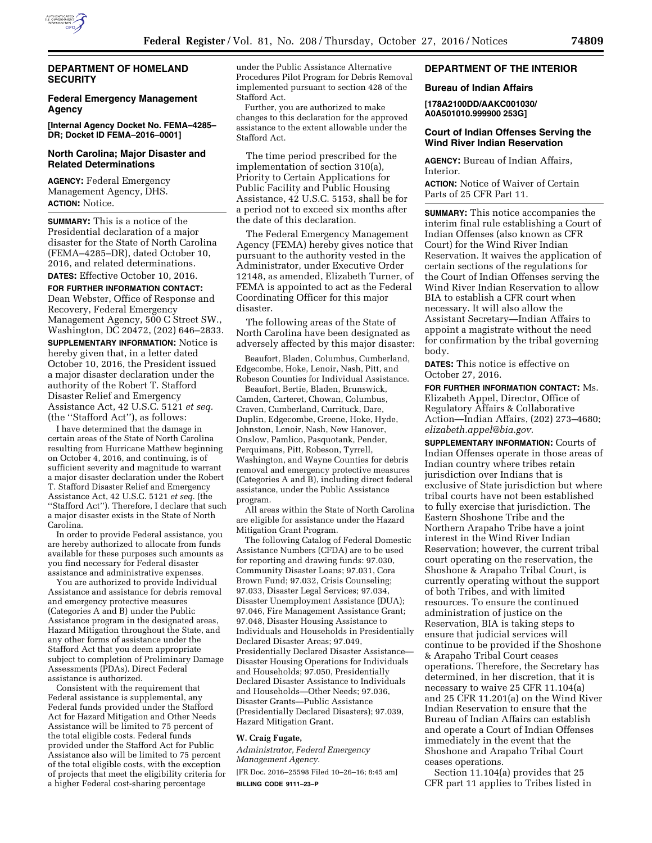

# **DEPARTMENT OF HOMELAND SECURITY**

# **Federal Emergency Management Agency**

**[Internal Agency Docket No. FEMA–4285– DR; Docket ID FEMA–2016–0001]** 

## **North Carolina; Major Disaster and Related Determinations**

**AGENCY:** Federal Emergency Management Agency, DHS. **ACTION:** Notice.

**SUMMARY:** This is a notice of the Presidential declaration of a major disaster for the State of North Carolina (FEMA–4285–DR), dated October 10, 2016, and related determinations.

**DATES:** Effective October 10, 2016. **FOR FURTHER INFORMATION CONTACT:**  Dean Webster, Office of Response and Recovery, Federal Emergency Management Agency, 500 C Street SW., Washington, DC 20472, (202) 646–2833. **SUPPLEMENTARY INFORMATION:** Notice is hereby given that, in a letter dated October 10, 2016, the President issued a major disaster declaration under the authority of the Robert T. Stafford Disaster Relief and Emergency Assistance Act, 42 U.S.C. 5121 *et seq.*  (the ''Stafford Act''), as follows:

I have determined that the damage in certain areas of the State of North Carolina resulting from Hurricane Matthew beginning on October 4, 2016, and continuing, is of sufficient severity and magnitude to warrant a major disaster declaration under the Robert T. Stafford Disaster Relief and Emergency Assistance Act, 42 U.S.C. 5121 *et seq.* (the ''Stafford Act''). Therefore, I declare that such a major disaster exists in the State of North Carolina.

In order to provide Federal assistance, you are hereby authorized to allocate from funds available for these purposes such amounts as you find necessary for Federal disaster assistance and administrative expenses.

You are authorized to provide Individual Assistance and assistance for debris removal and emergency protective measures (Categories A and B) under the Public Assistance program in the designated areas, Hazard Mitigation throughout the State, and any other forms of assistance under the Stafford Act that you deem appropriate subject to completion of Preliminary Damage Assessments (PDAs). Direct Federal assistance is authorized.

Consistent with the requirement that Federal assistance is supplemental, any Federal funds provided under the Stafford Act for Hazard Mitigation and Other Needs Assistance will be limited to 75 percent of the total eligible costs. Federal funds provided under the Stafford Act for Public Assistance also will be limited to 75 percent of the total eligible costs, with the exception of projects that meet the eligibility criteria for a higher Federal cost-sharing percentage

under the Public Assistance Alternative Procedures Pilot Program for Debris Removal implemented pursuant to section 428 of the Stafford Act.

Further, you are authorized to make changes to this declaration for the approved assistance to the extent allowable under the Stafford Act.

The time period prescribed for the implementation of section 310(a), Priority to Certain Applications for Public Facility and Public Housing Assistance, 42 U.S.C. 5153, shall be for a period not to exceed six months after the date of this declaration.

The Federal Emergency Management Agency (FEMA) hereby gives notice that pursuant to the authority vested in the Administrator, under Executive Order 12148, as amended, Elizabeth Turner, of FEMA is appointed to act as the Federal Coordinating Officer for this major disaster.

The following areas of the State of North Carolina have been designated as adversely affected by this major disaster:

Beaufort, Bladen, Columbus, Cumberland, Edgecombe, Hoke, Lenoir, Nash, Pitt, and Robeson Counties for Individual Assistance.

Beaufort, Bertie, Bladen, Brunswick, Camden, Carteret, Chowan, Columbus, Craven, Cumberland, Currituck, Dare, Duplin, Edgecombe, Greene, Hoke, Hyde, Johnston, Lenoir, Nash, New Hanover, Onslow, Pamlico, Pasquotank, Pender, Perquimans, Pitt, Robeson, Tyrrell, Washington, and Wayne Counties for debris removal and emergency protective measures (Categories A and B), including direct federal assistance, under the Public Assistance program.

All areas within the State of North Carolina are eligible for assistance under the Hazard Mitigation Grant Program.

The following Catalog of Federal Domestic Assistance Numbers (CFDA) are to be used for reporting and drawing funds: 97.030, Community Disaster Loans; 97.031, Cora Brown Fund; 97.032, Crisis Counseling; 97.033, Disaster Legal Services; 97.034, Disaster Unemployment Assistance (DUA); 97.046, Fire Management Assistance Grant; 97.048, Disaster Housing Assistance to Individuals and Households in Presidentially Declared Disaster Areas; 97.049, Presidentially Declared Disaster Assistance— Disaster Housing Operations for Individuals and Households; 97.050, Presidentially Declared Disaster Assistance to Individuals and Households—Other Needs; 97.036, Disaster Grants—Public Assistance (Presidentially Declared Disasters); 97.039, Hazard Mitigation Grant.

#### **W. Craig Fugate,**

*Administrator, Federal Emergency Management Agency.*  [FR Doc. 2016–25598 Filed 10–26–16; 8:45 am]

**BILLING CODE 9111–23–P** 

## **DEPARTMENT OF THE INTERIOR**

#### **Bureau of Indian Affairs**

#### **[178A2100DD/AAKC001030/ A0A501010.999900 253G]**

## **Court of Indian Offenses Serving the Wind River Indian Reservation**

**AGENCY:** Bureau of Indian Affairs, Interior.

**ACTION:** Notice of Waiver of Certain Parts of 25 CFR Part 11.

**SUMMARY:** This notice accompanies the interim final rule establishing a Court of Indian Offenses (also known as CFR Court) for the Wind River Indian Reservation. It waives the application of certain sections of the regulations for the Court of Indian Offenses serving the Wind River Indian Reservation to allow BIA to establish a CFR court when necessary. It will also allow the Assistant Secretary—Indian Affairs to appoint a magistrate without the need for confirmation by the tribal governing body.

**DATES:** This notice is effective on October 27, 2016.

**FOR FURTHER INFORMATION CONTACT:** Ms. Elizabeth Appel, Director, Office of Regulatory Affairs & Collaborative Action—Indian Affairs, (202) 273–4680; *[elizabeth.appel@bia.gov.](mailto:elizabeth.appel@bia.gov)* 

**SUPPLEMENTARY INFORMATION:** Courts of Indian Offenses operate in those areas of Indian country where tribes retain jurisdiction over Indians that is exclusive of State jurisdiction but where tribal courts have not been established to fully exercise that jurisdiction. The Eastern Shoshone Tribe and the Northern Arapaho Tribe have a joint interest in the Wind River Indian Reservation; however, the current tribal court operating on the reservation, the Shoshone & Arapaho Tribal Court, is currently operating without the support of both Tribes, and with limited resources. To ensure the continued administration of justice on the Reservation, BIA is taking steps to ensure that judicial services will continue to be provided if the Shoshone & Arapaho Tribal Court ceases operations. Therefore, the Secretary has determined, in her discretion, that it is necessary to waive 25 CFR 11.104(a) and 25 CFR 11.201(a) on the Wind River Indian Reservation to ensure that the Bureau of Indian Affairs can establish and operate a Court of Indian Offenses immediately in the event that the Shoshone and Arapaho Tribal Court ceases operations.

Section 11.104(a) provides that 25 CFR part 11 applies to Tribes listed in